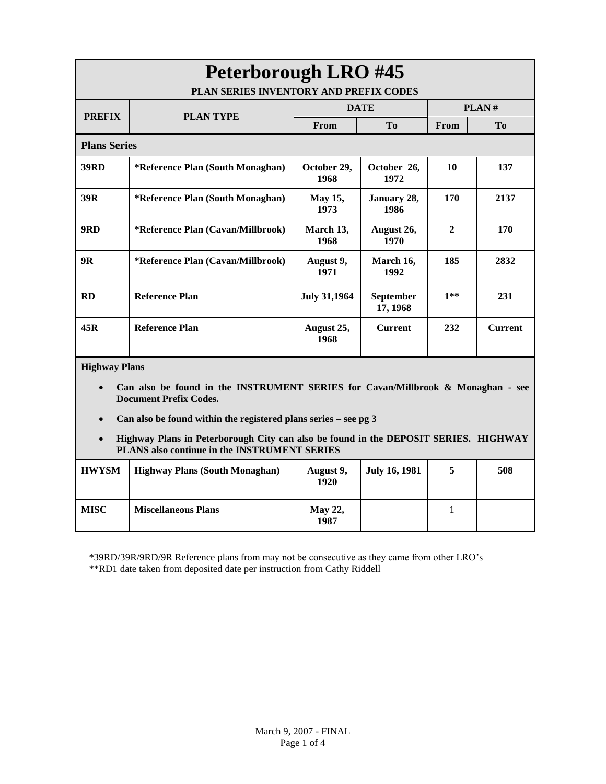| <b>Peterborough LRO #45</b>                                                                                      |                                   |                        |                              |              |                |  |
|------------------------------------------------------------------------------------------------------------------|-----------------------------------|------------------------|------------------------------|--------------|----------------|--|
| PLAN SERIES INVENTORY AND PREFIX CODES                                                                           |                                   |                        |                              |              |                |  |
| <b>PREFIX</b>                                                                                                    | <b>PLAN TYPE</b>                  | <b>DATE</b>            |                              | PLAN#        |                |  |
|                                                                                                                  |                                   | From                   | T <sub>0</sub>               | From         | T <sub>o</sub> |  |
| <b>Plans Series</b>                                                                                              |                                   |                        |                              |              |                |  |
| <b>39RD</b>                                                                                                      | *Reference Plan (South Monaghan)  | October 29,<br>1968    | October 26,<br>1972          | 10           | 137            |  |
| 39R                                                                                                              | *Reference Plan (South Monaghan)  | <b>May 15,</b><br>1973 | January 28,<br>1986          | 170          | 2137           |  |
| 9RD                                                                                                              | *Reference Plan (Cavan/Millbrook) | March 13,<br>1968      | August 26,<br>1970           | $\mathbf{2}$ | 170            |  |
| <b>9R</b>                                                                                                        | *Reference Plan (Cavan/Millbrook) | August 9,<br>1971      | March 16,<br>1992            | 185          | 2832           |  |
| <b>RD</b>                                                                                                        | <b>Reference Plan</b>             | <b>July 31,1964</b>    | <b>September</b><br>17, 1968 | $1**$        | 231            |  |
| 45R                                                                                                              | <b>Reference Plan</b>             | August 25,<br>1968     | <b>Current</b>               | 232          | <b>Current</b> |  |
| <b>Highway Plans</b>                                                                                             |                                   |                        |                              |              |                |  |
| Can also be found in the INSTRUMENT SERIES for Cavan/Millbrook & Monaghan - see<br><b>Document Prefix Codes.</b> |                                   |                        |                              |              |                |  |
| Can also be found within the registered plans series $-$ see pg 3                                                |                                   |                        |                              |              |                |  |

 **Highway Plans in Peterborough City can also be found in the DEPOSIT SERIES. HIGHWAY PLANS also continue in the INSTRUMENT SERIES**

| <b>HWYSM</b> | <b>Highway Plans (South Monaghan)</b> | August 9,<br>1920      | <b>July 16, 1981</b> | 508 |
|--------------|---------------------------------------|------------------------|----------------------|-----|
| MISC         | <b>Miscellaneous Plans</b>            | <b>May 22,</b><br>1987 |                      |     |

\*39RD/39R/9RD/9R Reference plans from may not be consecutive as they came from other LRO's

\*\*RD1 date taken from deposited date per instruction from Cathy Riddell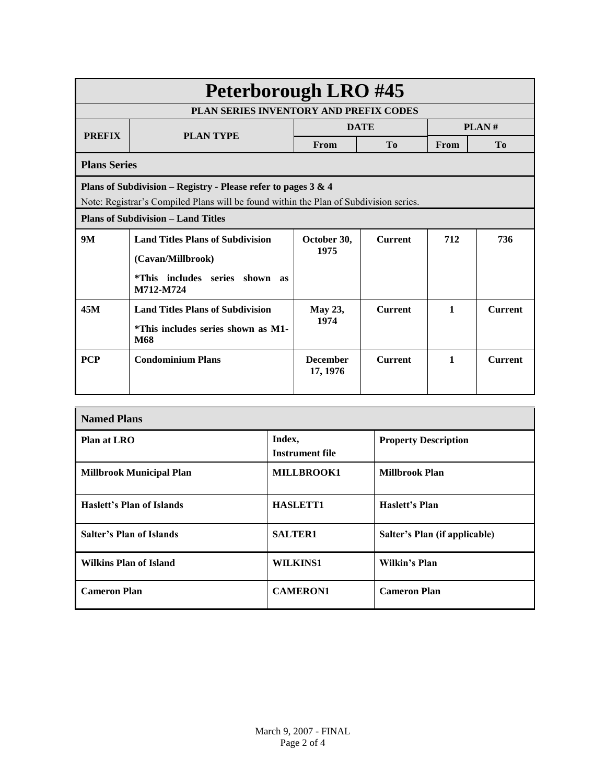| <b>Peterborough LRO #45</b>                                                                                                                            |                                                                                                                       |                             |                |              |                |  |
|--------------------------------------------------------------------------------------------------------------------------------------------------------|-----------------------------------------------------------------------------------------------------------------------|-----------------------------|----------------|--------------|----------------|--|
| <b>PLAN SERIES INVENTORY AND PREFIX CODES</b>                                                                                                          |                                                                                                                       |                             |                |              |                |  |
| <b>PREFIX</b>                                                                                                                                          | <b>PLAN TYPE</b>                                                                                                      | <b>DATE</b>                 |                | PLAN#        |                |  |
|                                                                                                                                                        |                                                                                                                       | From                        | T <sub>0</sub> | From         | T <sub>0</sub> |  |
| <b>Plans Series</b>                                                                                                                                    |                                                                                                                       |                             |                |              |                |  |
| Plans of Subdivision - Registry - Please refer to pages 3 & 4<br>Note: Registrar's Compiled Plans will be found within the Plan of Subdivision series. |                                                                                                                       |                             |                |              |                |  |
| <b>Plans of Subdivision – Land Titles</b>                                                                                                              |                                                                                                                       |                             |                |              |                |  |
| <b>9M</b>                                                                                                                                              | <b>Land Titles Plans of Subdivision</b><br>(Cavan/Millbrook)<br><i>*This</i> includes series shown<br>as<br>M712-M724 | October 30,<br>1975         | <b>Current</b> | 712          | 736            |  |
| 45M                                                                                                                                                    | <b>Land Titles Plans of Subdivision</b><br>*This includes series shown as M1-<br><b>M68</b>                           | <b>May 23,</b><br>1974      | <b>Current</b> | $\mathbf{1}$ | <b>Current</b> |  |
| <b>PCP</b>                                                                                                                                             | <b>Condominium Plans</b>                                                                                              | <b>December</b><br>17, 1976 | <b>Current</b> | 1            | <b>Current</b> |  |

| <b>Named Plans</b>               |                           |                               |  |  |  |
|----------------------------------|---------------------------|-------------------------------|--|--|--|
| Plan at LRO                      | Index,<br>Instrument file | <b>Property Description</b>   |  |  |  |
| <b>Millbrook Municipal Plan</b>  | MILLBROOK1                | <b>Millbrook Plan</b>         |  |  |  |
| <b>Haslett's Plan of Islands</b> | <b>HASLETT1</b>           | Haslett's Plan                |  |  |  |
| Salter's Plan of Islands         | <b>SALTER1</b>            | Salter's Plan (if applicable) |  |  |  |
| <b>Wilkins Plan of Island</b>    | <b>WILKINS1</b>           | Wilkin's Plan                 |  |  |  |
| <b>Cameron Plan</b>              | <b>CAMERON1</b>           | <b>Cameron Plan</b>           |  |  |  |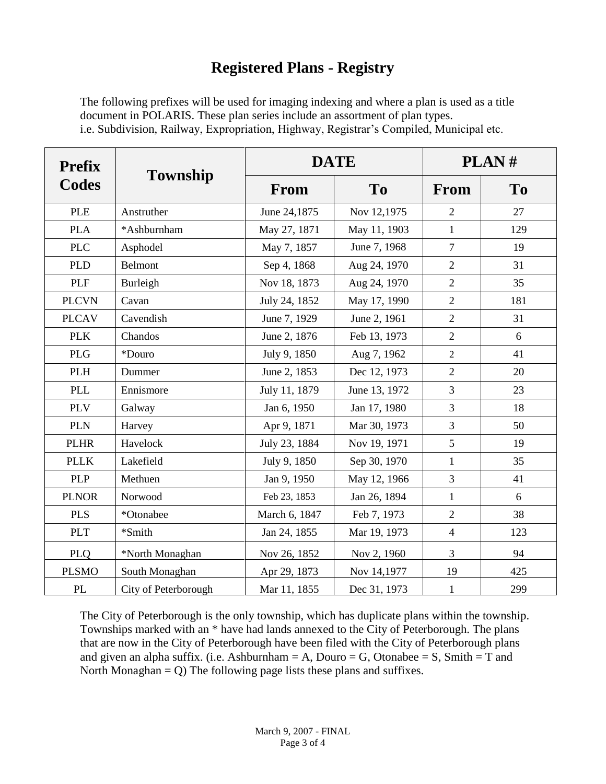## **Registered Plans - Registry**

The following prefixes will be used for imaging indexing and where a plan is used as a title document in POLARIS. These plan series include an assortment of plan types. i.e. Subdivision, Railway, Expropriation, Highway, Registrar's Compiled, Municipal etc.

| <b>Prefix</b>                   | <b>Township</b>      |               | <b>DATE</b>   | PLAN#          |                |  |
|---------------------------------|----------------------|---------------|---------------|----------------|----------------|--|
| Codes                           |                      | From          | <b>To</b>     | From           | T <sub>0</sub> |  |
| <b>PLE</b>                      | Anstruther           | June 24,1875  | Nov 12,1975   | $\overline{2}$ | 27             |  |
| <b>PLA</b>                      | *Ashburnham          | May 27, 1871  | May 11, 1903  | $\mathbf{1}$   | 129            |  |
| <b>PLC</b>                      | Asphodel             | May 7, 1857   | June 7, 1968  | $\tau$         | 19             |  |
| <b>PLD</b>                      | Belmont              | Sep 4, 1868   | Aug 24, 1970  | $\overline{2}$ | 31             |  |
| <b>PLF</b>                      | Burleigh             | Nov 18, 1873  | Aug 24, 1970  | $\overline{2}$ | 35             |  |
| <b>PLCVN</b>                    | Cavan                | July 24, 1852 | May 17, 1990  | $\overline{2}$ | 181            |  |
| <b>PLCAV</b>                    | Cavendish            | June 7, 1929  | June 2, 1961  | $\overline{2}$ | 31             |  |
| <b>PLK</b>                      | Chandos              | June 2, 1876  | Feb 13, 1973  | $\overline{2}$ | 6              |  |
| <b>PLG</b>                      | *Douro               | July 9, 1850  | Aug 7, 1962   | $\overline{2}$ | 41             |  |
| <b>PLH</b>                      | Dummer               | June 2, 1853  | Dec 12, 1973  | $\overline{2}$ | 20             |  |
| <b>PLL</b>                      | Ennismore            | July 11, 1879 | June 13, 1972 | 3              | 23             |  |
| <b>PLV</b>                      | Galway               | Jan 6, 1950   | Jan 17, 1980  | $\overline{3}$ | 18             |  |
| <b>PLN</b>                      | Harvey               | Apr 9, 1871   | Mar 30, 1973  | 3              | 50             |  |
| <b>PLHR</b>                     | Havelock             | July 23, 1884 | Nov 19, 1971  | 5              | 19             |  |
| <b>PLLK</b>                     | Lakefield            | July 9, 1850  | Sep 30, 1970  | $\mathbf{1}$   | 35             |  |
| <b>PLP</b>                      | Methuen              | Jan 9, 1950   | May 12, 1966  | $\overline{3}$ | 41             |  |
| <b>PLNOR</b>                    | Norwood              | Feb 23, 1853  | Jan 26, 1894  | $\mathbf{1}$   | 6              |  |
| <b>PLS</b>                      | *Otonabee            | March 6, 1847 | Feb 7, 1973   | $\overline{2}$ | 38             |  |
| <b>PLT</b>                      | *Smith               | Jan 24, 1855  | Mar 19, 1973  | $\overline{4}$ | 123            |  |
| <b>PLQ</b>                      | *North Monaghan      | Nov 26, 1852  | Nov 2, 1960   | $\overline{3}$ | 94             |  |
| <b>PLSMO</b>                    | South Monaghan       | Apr 29, 1873  | Nov 14,1977   | 19             | 425            |  |
| $\ensuremath{\text{PL}}\xspace$ | City of Peterborough | Mar 11, 1855  | Dec 31, 1973  | $\mathbf{1}$   | 299            |  |

The City of Peterborough is the only township, which has duplicate plans within the township. Townships marked with an \* have had lands annexed to the City of Peterborough. The plans that are now in the City of Peterborough have been filed with the City of Peterborough plans and given an alpha suffix. (i.e. Ashburnham  $= A$ , Douro  $= G$ , Otonabee  $= S$ , Smith  $= T$  and North Monaghan  $= Q$ ) The following page lists these plans and suffixes.